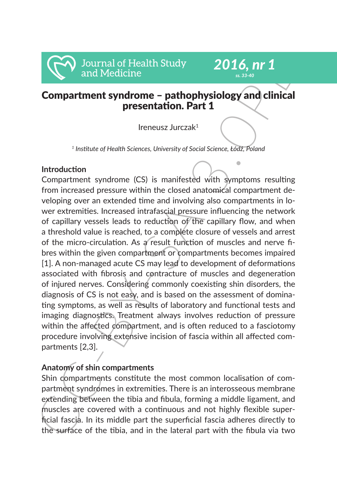# Compartment syndrome – pathophysiology and clinical *ss. 33-40*

Ireneusz Jurczak1

presentation. Part 1

*2016, nr 1*

*<sup>1</sup> Institute of Health Sciences, University of Social Science, Łódź, Poland*

## **Introduction**

**COMPAREMELY CONTIGN CONTICLE (CONTIGNAL)**<br> **Compartment syndrome – pathophysiology and clinical**<br> **Compartment syndrome – pathophysiology and clinical**<br> **Compartment syndrome – pathophysiology and clinical**<br>
<sup>1</sup> Institut Compartment syndrome (CS) is manifested with symptoms resulting from increased pressure within the closed anatomical compartment developing over an extended time and involving also compartments in lower extremities. Increased intrafascial pressure influencing the network of capillary vessels leads to reduction of the capillary flow, and when a threshold value is reached, to a complete closure of vessels and arrest of the micro-circulation. As a result function of muscles and nerve fibres within the given compartment or compartments becomes impaired [1]. A non-managed acute CS may lead to development of deformations associated with fibrosis and contracture of muscles and degeneration of injured nerves. Considering commonly coexisting shin disorders, the diagnosis of CS is not easy, and is based on the assessment of dominating symptoms, as well as results of laboratory and functional tests and imaging diagnostics. Treatment always involves reduction of pressure within the affected compartment, and is often reduced to a fasciotomy procedure involving extensive incision of fascia within all affected compartments [2,3].

## **Anatomy of shin compartments**

Shin dompartments constitute the most common localisation of compartment syndromes in extremities. There is an interosseous membrane extending between the tibia and fibula, forming a middle ligament, and muscles are covered with a continuous and not highly flexible superficial fascia. In its middle part the superficial fascia adheres directly to the surface of the tibia, and in the lateral part with the fibula via two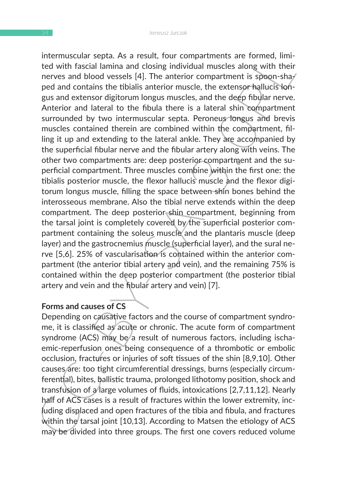ntermuscular septa. As a result, rour compartments are ronmen, um-<br>ted with fascial lamina and closing individual muscles along with their<br>nerves and blood vessels [4]. The anterior compartment is spoon-shay<br>gua and contai intermuscular septa. As a result, four compartments are formed, limited with fascial lamina and closing individual muscles along with their nerves and blood vessels [4]. The anterior compartment is spoon-shaped and contains the tibialis anterior muscle, the extensor hallucis longus and extensor digitorum longus muscles, and the deep fibular nerve. Anterior and lateral to the fibula there is a lateral shin compartment surrounded by two intermuscular septa. Peroneus longus and brevis muscles contained therein are combined within the compartment, filling it up and extending to the lateral ankle. They are accompanied by the superficial fibular nerve and the fibular artery along with veins. The other two compartments are: deep posterior compartment and the superficial compartment. Three muscles combine within the first one: the tibialis posterior muscle, the flexor hallucis muscle and the flexor digitorum longus muscle, filling the space between shin bones behind the interosseous membrane. Also the tibial nerve extends within the deep compartment. The deep posterior shin compartment, beginning from the tarsal joint is completely covered by the superficial posterior compartment containing the soleus muscle and the plantaris muscle (deep layer) and the gastrocnemius muscle (superficial layer), and the sural nerve [5,6]. 25% of vascularisation is contained within the anterior compartment (the anterior tibial artery and vein), and the remaining 75% is contained within the deep posterior compartment (the posterior tibial artery and vein and the fibular artery and vein) [7].

#### **Forms and causes of CS**

Depending on causative factors and the course of compartment syndrome, it is classified as acute or chronic. The acute form of compartment syndrome (ACS) may be a result of numerous factors, including ischaemic-reperfusion ones being consequence of a thrombotic or embolic occlusion, fractures or injuries of soft tissues of the shin [8,9,10]. Other causes are: too tight circumferential dressings, burns (especially circumferential), bites, ballistic trauma, prolonged lithotomy position, shock and transfusion of a large volumes of fluids, intoxications [2,7,11,12]. Nearly half of ACS cases is a result of fractures within the lower extremity, including displaced and open fractures of the tibia and fibula, and fractures within the tarsal joint [10,13]. According to Matsen the etiology of ACS may be divided into three groups. The first one covers reduced volume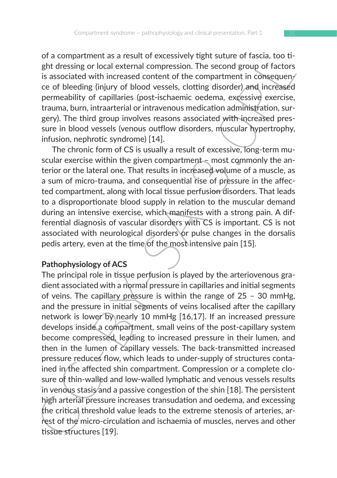of a compartment as a result of excessively tight suture of fascia, too tight dressing or local external compression. The second group of factors is associated with increased content of the compartment in consequen- $\ell$ ce of bleeding (injury of blood vessels, clotting disorder) and increased permeability of capillaries (post-ischaemic oedema, excessive exercise, trauma, burn, intraarterial or intravenous medication administration, surgery). The third group involves reasons associated with increased pressure in blood vessels (venous outflow disorders, muscular hypertrophy, infusion, nephrotic syndrome) [14].

The chronic form of CS is usually a result of excessive, long-term muscular exercise within the given compartment – most commonly the anterior or the lateral one. That results in increased volume of a muscle, as a sum of micro-trauma, and consequential rise of pressure in the affected compartment, along with local tissue perfusion disorders. That leads to a disproportionate blood supply in relation to the muscular demand during an intensive exercise, which manifests with a strong pain. A differential diagnosis of vascular disorders with CS is important. CS is not associated with neurological disorders or pulse changes in the dorsalis pedis artery, even at the time of the most intensive pain [15].

### **Pathophysiology of ACS**

or a compartment as a result of excessively ngin sulture of rascia, to other<br>sph or localing or local external compression. The second group of factors<br>is associated with increased content of the compartment in consequeny The principal role in tissue perfusion is played by the arteriovenous gradient associated with a normal pressure in capillaries and initial segments of veins. The capillary pressure is within the range of  $25 - 30$  mmHg, and the pressure in initial segments of veins localised after the capillary network is lower by nearly 10 mmHg [16,17]. If an increased pressure develops inside a compartment, small veins of the post-capillary system become compressed, leading to increased pressure in their lumen, and then in the lumen of capillary vessels. The back-transmitted increased pressure reduces flow, which leads to under-supply of structures contained in the affected shin compartment. Compression or a complete closure of thin-walled and low-walled lymphatic and venous vessels results in venous stasis and a passive congestion of the shin [18]. The persistent high arterial pressure increases transudation and oedema, and excessing the critical threshold value leads to the extreme stenosis of arteries, arrest of the micro-circulation and ischaemia of muscles, nerves and other tissue structures [19].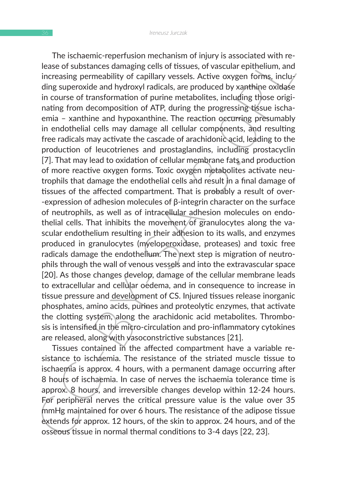Ine isometrie repertuasion mechanism on injury is associated with re-<br>lease of substances damaging cells of tissues, of vascular epithelium, and<br>increasing permeability of capillary vessels. Active oxygen forms, incluy<br>din The ischaemic-reperfusion mechanism of injury is associated with release of substances damaging cells of tissues, of vascular epithelium, and increasing permeability of capillary vessels. Active oxygen forms, including superoxide and hydroxyl radicals, are produced by xanthine oxidase in course of transformation of purine metabolites, including those originating from decomposition of ATP, during the progressing tissue ischaemia – xanthine and hypoxanthine. The reaction occurring presumably in endothelial cells may damage all cellular components, and resulting free radicals may activate the cascade of arachidonic acid, leading to the production of leucotrienes and prostaglandins, including prostacyclin [7]. That may lead to oxidation of cellular membrane fats and production of more reactive oxygen forms. Toxic oxygen metabolites activate neutrophils that damage the endothelial cells and result in a final damage of tissues of the affected compartment. That is probably a result of over- -expression of adhesion molecules of β-integrin character on the surface of neutrophils, as well as of intracellular adhesion molecules on endothelial cells. That inhibits the movement of granulocytes along the vascular endothelium resulting in their adhesion to its walls, and enzymes produced in granulocytes (myeloperoxidase, proteases) and toxic free radicals damage the endothelium. The next step is migration of neutrophils through the wall of venous vessels and into the extravascular space [20]. As those changes develop, damage of the cellular membrane leads to extracellular and cellular oedema, and in consequence to increase in tissue pressure and development of CS. Injured tissues release inorganic phosphates, amino acids, purines and proteolytic enzymes, that activate the clotting system, along the arachidonic acid metabolites. Thrombosis is intensified in the micro-circulation and pro-inflammatory cytokines are released, along with vasoconstrictive substances [21].

Tissues contained in the affected compartment have a variable resistance to ischaemia. The resistance of the striated muscle tissue to ischaemia is approx. 4 hours, with a permanent damage occurring after 8 hours of ischaemia. In case of nerves the ischaemia tolerance time is approx. 8 hours, and irreversible changes develop within 12-24 hours. For peripheral nerves the critical pressure value is the value over 35 mmHg maintained for over 6 hours. The resistance of the adipose tissue extends for approx. 12 hours, of the skin to approx. 24 hours, and of the osseous tissue in normal thermal conditions to 3-4 days [22, 23].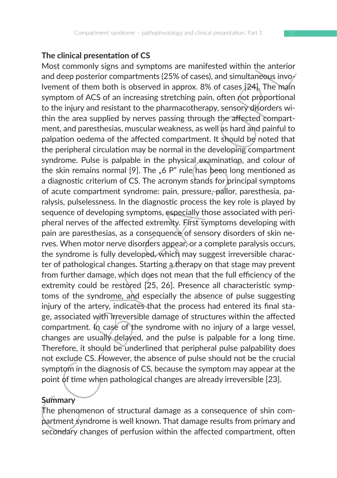#### **The clinical presentation of CS**

Ine cuited presentation of CS. The arenewige of screen of public the phenomenon of structure of them both is observed in approx. 8% of asses (24). The main of them both is observed in approx. 8% of asses (24). The main of Most commonly signs and symptoms are manifested within the anterior and deep posterior compartments (25% of cases), and simultaneous involvement of them both is observed in approx. 8% of cases [24]. The main symptom of ACS of an increasing stretching pain, often not proportional to the injury and resistant to the pharmacotherapy, sensory disorders within the area supplied by nerves passing through the affected compartment, and paresthesias, muscular weakness, as well as hard and painful to palpation oedema of the affected compartment. It should be noted that the peripheral circulation may be normal in the developing compartment syndrome. Pulse is palpable in the physical examination, and colour of the skin remains normal [9]. The  $\mu$ 6 P" rule has been long mentioned as a diagnostic criterium of CS. The acronym stands for principal symptoms of acute compartment syndrome: pain, pressure, pallor, paresthesia, paralysis, pulselessness. In the diagnostic process the key role is played by sequence of developing symptoms, especially those associated with peripheral nerves of the affected extremity. First symptoms developing with pain are paresthesias, as a consequence of sensory disorders of skin nerves. When motor nerve disorders appear, or a complete paralysis occurs, the syndrome is fully developed, which may suggest irreversible character of pathological changes. Starting a therapy on that stage may prevent from further damage, which does not mean that the full efficiency of the extremity could be restored [25, 26]. Presence all characteristic symptoms of the syndrome, and especially the absence of pulse suggesting injury of the artery, indicates that the process had entered its final stage, associated with irreversible damage of structures within the affected compartment. In case of the syndrome with no injury of a large vessel, changes are usually delayed, and the pulse is palpable for a long time. Therefore, it should be underlined that peripheral pulse palpability does not exclude CS. However, the absence of pulse should not be the crucial symptom in the diagnosis of CS, because the symptom may appear at the point of time when pathological changes are already irreversible [23].

#### **Summary**

The phenomenon of structural damage as a consequence of shin compartment syndrome is well known. That damage results from primary and secondary changes of perfusion within the affected compartment, often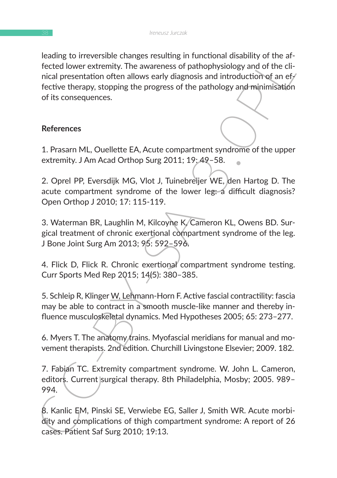Example to rreversible changes resulting in tunctional disability or the articular decided lower extremity. The awareness of pathophysiology and of the clinical presentation often allows early diagnosis and introduction of leading to irreversible changes resulting in functional disability of the affected lower extremity. The awareness of pathophysiology and of the clinical presentation often allows early diagnosis and introduction of an effective therapy, stopping the progress of the pathology and minimisation of its consequences.

### **References**

1. Prasarn ML, Ouellette EA, Acute compartment syndrome of the upper extremity. J Am Acad Orthop Surg 2011; 19: 49–58.

2. Oprel PP, Eversdijk MG, Vlot J, Tuinebreijer WE, den Hartog D. The acute compartment syndrome of the lower leg: a difficult diagnosis? Open Orthop J 2010; 17: 115-119.

3. Waterman BR, Laughlin M, Kilcoyne K, Cameron KL, Owens BD. Surgical treatment of chronic exertional compartment syndrome of the leg. J Bone Joint Surg Am 2013; 95: 592–596.

4. Flick D, Flick R. Chronic exertional compartment syndrome testing. Curr Sports Med Rep 2015; 14(5): 380–385.

5. Schleip R, Klinger W, Lehmann-Horn F. Active fascial contractility: fascia may be able to contract in a smooth muscle-like manner and thereby influence musculoskeletal dynamics. Med Hypotheses 2005; 65: 273–277.

6. Myers T. The anatomy trains. Myofascial meridians for manual and movement therapists. 2nd edition. Churchill Livingstone Elsevier; 2009. 182.

7. Fabian TC. Extremity compartment syndrome. W. John L. Cameron, editors. Current surgical therapy. 8th Philadelphia, Mosby; 2005. 989-994.

8. Kanlic EM, Pinski SE, Verwiebe EG, Saller J, Smith WR. Acute morbidity and complications of thigh compartment syndrome: A report of 26 cases. Patient Saf Surg 2010; 19:13.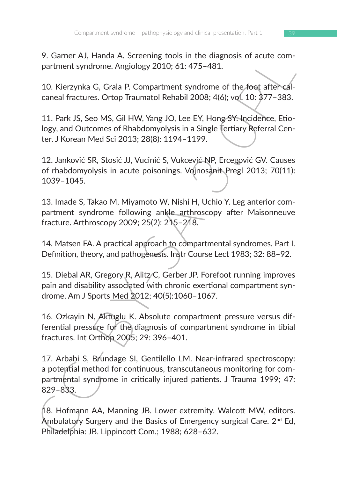9. Garner AJ, Handa A. Screening tools in the diagnosis of acute compartment syndrome. Angiology 2010; 61: 475–481.

10. Kierzynka G, Grala P. Compartment syndrome of the foot after calcaneal fractures. Ortop Traumatol Rehabil 2008; 4(6); vol. 10: 377–383.

11. Park JS, Seo MS, Gil HW, Yang JO, Lee EY, Hong SY. Incidence, Etiology, and Outcomes of Rhabdomyolysis in a Single Tertiary Referral Center. J Korean Med Sci 2013; 28(8): 1194–1199.

12. Janković SR, Stosić JJ, Vucinić S, Vukcević NP, Ercegović GV. Causes of rhabdomyolysis in acute poisonings. Vojnosanit Pregl 2013; 70(11): 1039–1045.

13. Imade S, Takao M, Miyamoto W, Nishi H, Uchio Y. Leg anterior compartment syndrome following ankle arthroscopy after Maisonneuve fracture. Arthroscopy 2009; 25(2): 215–218.

14. Matsen FA. A practical approach to compartmental syndromes. Part I. Definition, theory, and pathogenesis. Instr Course Lect 1983; 32: 88–92.

15. Diebal AR, Gregory R, Alitz/C, Gerber JP. Forefoot running improves pain and disability associated with chronic exertional compartment syndrome. Am J Sports Med 2012; 40(5):1060–1067.

16. Ozkayin N, Aktuglu K. Absolute compartment pressure versus differential pressure for the diagnosis of compartment syndrome in tibial fractures. Int Orthop 2005; 29: 396–401.

v. Lamer AJ, Hanara A. Screening toos in the diagnoiss of actue com-<br>
Lamer M, Hanara A. Screening toos in the diagnoiss of actue com-<br>
10. Kierzynka G, Grala P. Compartment syndrome of the foot after-cal-<br>
caneal fracture 17. Arbabi S, Brundage SI, Gentilello LM. Near-infrared spectroscopy: a potential method for continuous, transcutaneous monitoring for compartmental syndrome in critically injured patients. J Trauma 1999; 47: 829–833.

18. Hofmann AA, Manning JB. Lower extremity. Walcott MW, editors. Ambulatory Surgery and the Basics of Emergency surgical Care. 2<sup>nd</sup> Ed, Philadelphia: JB. Lippincott Com.; 1988; 628–632.